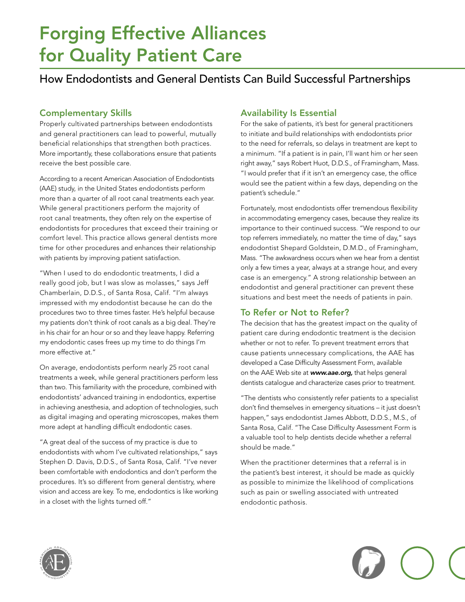# Forging Effective Alliances for Quality Patient Care

### How Endodontists and General Dentists Can Build Successful Partnerships

#### **Complementary Skills**

Properly cultivated partnerships between endodontists and general practitioners can lead to powerful, mutually beneficial relationships that strengthen both practices. More importantly, these collaborations ensure that patients receive the best possible care.

According to a recent American Association of Endodontists (AAE) study, in the United States endodontists perform more than a quarter of all root canal treatments each year. While general practitioners perform the majority of root canal treatments, they often rely on the expertise of endodontists for procedures that exceed their training or comfort level. This practice allows general dentists more time for other procedures and enhances their relationship with patients by improving patient satisfaction.

"When I used to do endodontic treatments, I did a really good job, but I was slow as molasses," says Jeff Chamberlain, D.D.S., of Santa Rosa, Calif. "I'm always impressed with my endodontist because he can do the procedures two to three times faster. He's helpful because my patients don't think of root canals as a big deal. They're in his chair for an hour or so and they leave happy. Referring my endodontic cases frees up my time to do things I'm more effective at."

On average, endodontists perform nearly 25 root canal treatments a week, while general practitioners perform less than two. This familiarity with the procedure, combined with endodontists' advanced training in endodontics, expertise in achieving anesthesia, and adoption of technologies, such as digital imaging and operating microscopes, makes them more adept at handling difficult endodontic cases.

"A great deal of the success of my practice is due to endodontists with whom I've cultivated relationships," says Stephen D. Davis, D.D.S., of Santa Rosa, Calif. "I've never been comfortable with endodontics and don't perform the procedures. It's so different from general dentistry, where vision and access are key. To me, endodontics is like working in a closet with the lights turned off."

#### **Availability Is Essential**

For the sake of patients, it's best for general practitioners to initiate and build relationships with endodontists prior to the need for referrals, so delays in treatment are kept to a minimum. "If a patient is in pain, I'll want him or her seen right away," says Robert Huot, D.D.S., of Framingham, Mass. "I would prefer that if it isn't an emergency case, the office would see the patient within a few days, depending on the patient's schedule."

Fortunately, most endodontists offer tremendous flexibility in accommodating emergency cases, because they realize its importance to their continued success. "We respond to our top referrers immediately, no matter the time of day," says endodontist Shepard Goldstein, D.M.D., of Framingham, Mass. "The awkwardness occurs when we hear from a dentist only a few times a year, always at a strange hour, and every case is an emergency." A strong relationship between an endodontist and general practitioner can prevent these situations and best meet the needs of patients in pain.

#### To Refer or Not to Refer?

The decision that has the greatest impact on the quality of patient care during endodontic treatment is the decision whether or not to refer. To prevent treatment errors that cause patients unnecessary complications, the AAE has developed a Case Difficulty Assessment Form, available on the AAE Web site at www.aae.org, that helps general dentists catalogue and characterize cases prior to treatment.

"The dentists who consistently refer patients to a specialist don't find themselves in emergency situations – it just doesn't happen," says endodontist James Abbott, D.D.S., M.S., of Santa Rosa, Calif. "The Case Difficulty Assessment Form is a valuable tool to help dentists decide whether a referral should be made."

When the practitioner determines that a referral is in the patient's best interest, it should be made as quickly as possible to minimize the likelihood of complications such as pain or swelling associated with untreated endodontic pathosis.